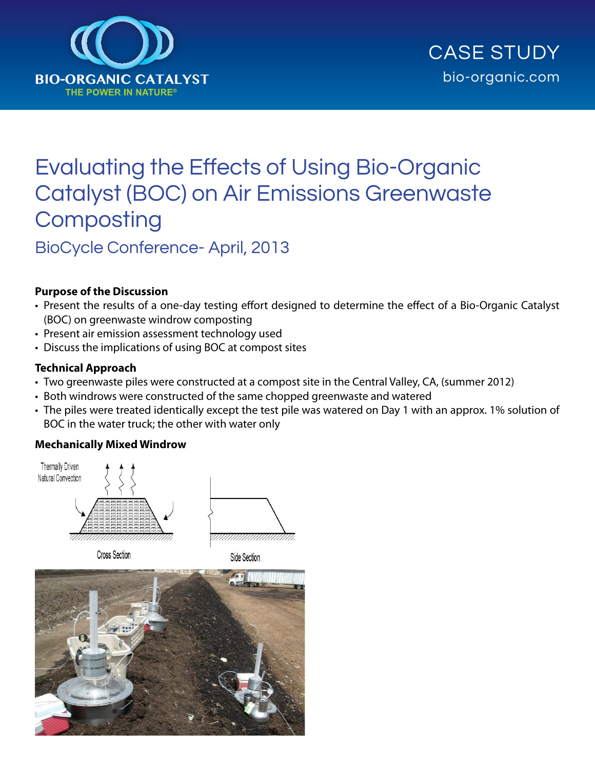

# Evaluating the Effects of Using Bio-Organic Catalyst (BOC) on Air Emissions Greenwaste **Composting**

BioCycle Conference- April, 2013

#### **Purpose of the Discussion**

- Present the results of a one-day testing effort designed to determine the effect of a Bio-Organic Catalyst (BOC) on greenwaste windrow composting
- Present air emission assessment technology used
- Discuss the implications of using BOC at compost sites

#### **Technical Approach**

- Two greenwaste piles were constructed at a compost site in the Central Valley, CA, (summer 2012)
- Both windrows were constructed of the same chopped greenwaste and watered
- The piles were treated identically except the test pile was watered on Day 1 with an approx. 1% solution of BOC in the water truck; the other with water only

#### **Mechanically Mixed Windrow**



**Cross Section** 



Side Section

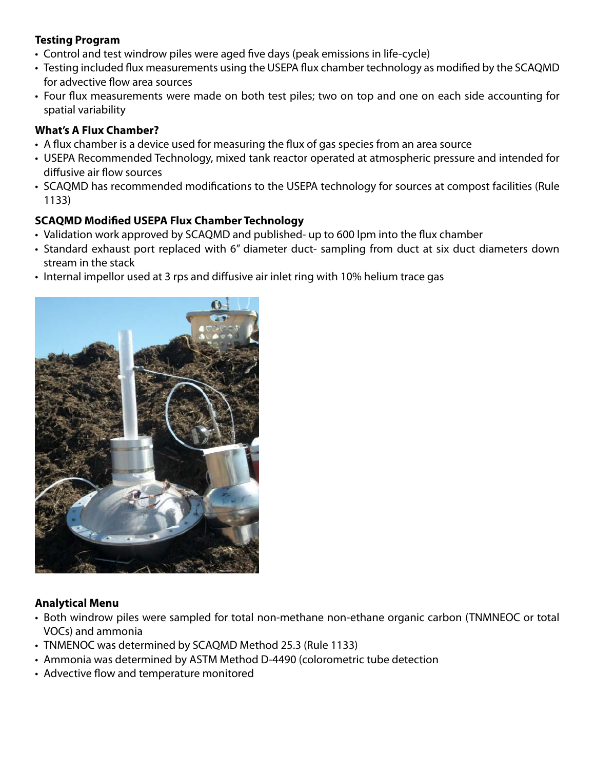#### **Testing Program**

- • Control and test windrow piles were aged five days (peak emissions in life-cycle)
- Testing included flux measurements using the USEPA flux chamber technology as modified by the SCAQMD for advective flow area sources
- Four flux measurements were made on both test piles; two on top and one on each side accounting for spatial variability

#### **What's A Flux Chamber?**

- A flux chamber is a device used for measuring the flux of gas species from an area source
- • USEPA Recommended Technology, mixed tank reactor operated at atmospheric pressure and intended for diffusive air flow sources
- SCAQMD has recommended modifications to the USEPA technology for sources at compost facilities (Rule 1133)

## **SCAQMD Modified USEPA Flux Chamber Technology**

- Validation work approved by SCAQMD and published- up to 600 lpm into the flux chamber
- Standard exhaust port replaced with 6" diameter duct- sampling from duct at six duct diameters down stream in the stack
- Internal impellor used at 3 rps and diffusive air inlet ring with 10% helium trace gas



## **Analytical Menu**

- Both windrow piles were sampled for total non-methane non-ethane organic carbon (TNMNEOC or total VOCs) and ammonia
- TNMENOC was determined by SCAQMD Method 25.3 (Rule 1133)
- Ammonia was determined by ASTM Method D-4490 (colorometric tube detection
- Advective flow and temperature monitored